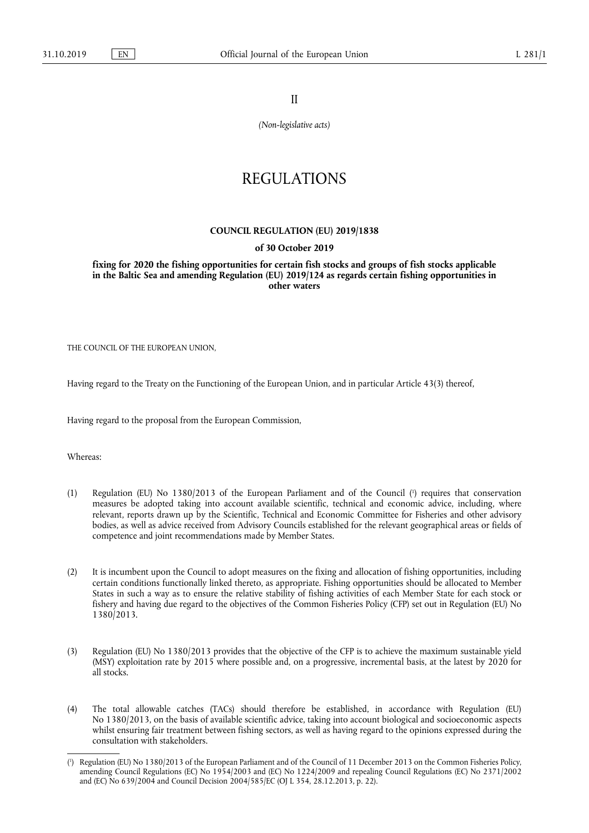II

*(Non-legislative acts)* 

# REGULATIONS

## **COUNCIL REGULATION (EU) 2019/1838**

## **of 30 October 2019**

**fixing for 2020 the fishing opportunities for certain fish stocks and groups of fish stocks applicable in the Baltic Sea and amending Regulation (EU) 2019/124 as regards certain fishing opportunities in other waters** 

THE COUNCIL OF THE EUROPEAN UNION,

Having regard to the Treaty on the Functioning of the European Union, and in particular Article 43(3) thereof,

Having regard to the proposal from the European Commission,

Whereas:

- (1) Regulation (EU) No 1380/2013 of the European Parliament and of the Council ( 1 ) requires that conservation measures be adopted taking into account available scientific, technical and economic advice, including, where relevant, reports drawn up by the Scientific, Technical and Economic Committee for Fisheries and other advisory bodies, as well as advice received from Advisory Councils established for the relevant geographical areas or fields of competence and joint recommendations made by Member States.
- (2) It is incumbent upon the Council to adopt measures on the fixing and allocation of fishing opportunities, including certain conditions functionally linked thereto, as appropriate. Fishing opportunities should be allocated to Member States in such a way as to ensure the relative stability of fishing activities of each Member State for each stock or fishery and having due regard to the objectives of the Common Fisheries Policy (CFP) set out in Regulation (EU) No 1380/2013.
- (3) Regulation (EU) No 1380/2013 provides that the objective of the CFP is to achieve the maximum sustainable yield (MSY) exploitation rate by 2015 where possible and, on a progressive, incremental basis, at the latest by 2020 for all stocks.
- (4) The total allowable catches (TACs) should therefore be established, in accordance with Regulation (EU) No 1380/2013, on the basis of available scientific advice, taking into account biological and socioeconomic aspects whilst ensuring fair treatment between fishing sectors, as well as having regard to the opinions expressed during the consultation with stakeholders.

<sup>(</sup> 1 ) Regulation (EU) No 1380/2013 of the European Parliament and of the Council of 11 December 2013 on the Common Fisheries Policy, amending Council Regulations (EC) No 1954/2003 and (EC) No 1224/2009 and repealing Council Regulations (EC) No 2371/2002 and (EC) No 639/2004 and Council Decision 2004/585/EC (OJ L 354, 28.12.2013, p. 22).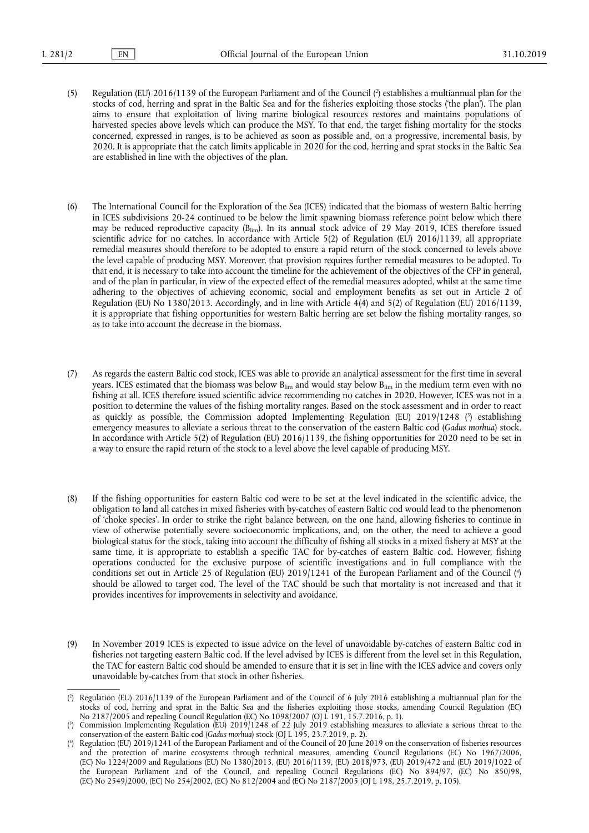- (5) Regulation (EU) 2016/1139 of the European Parliament and of the Council ( $\cdot$ ) establishes a multiannual plan for the stocks of cod, herring and sprat in the Baltic Sea and for the fisheries exploiting those stocks ('the plan'). The plan aims to ensure that exploitation of living marine biological resources restores and maintains populations of harvested species above levels which can produce the MSY. To that end, the target fishing mortality for the stocks concerned, expressed in ranges, is to be achieved as soon as possible and, on a progressive, incremental basis, by 2020. It is appropriate that the catch limits applicable in 2020 for the cod, herring and sprat stocks in the Baltic Sea are established in line with the objectives of the plan.
- (6) The International Council for the Exploration of the Sea (ICES) indicated that the biomass of western Baltic herring in ICES subdivisions 20-24 continued to be below the limit spawning biomass reference point below which there may be reduced reproductive capacity (Blim). In its annual stock advice of 29 May 2019, ICES therefore issued scientific advice for no catches. In accordance with Article 5(2) of Regulation (EU) 2016/1139, all appropriate remedial measures should therefore to be adopted to ensure a rapid return of the stock concerned to levels above the level capable of producing MSY. Moreover, that provision requires further remedial measures to be adopted. To that end, it is necessary to take into account the timeline for the achievement of the objectives of the CFP in general, and of the plan in particular, in view of the expected effect of the remedial measures adopted, whilst at the same time adhering to the objectives of achieving economic, social and employment benefits as set out in Article 2 of Regulation (EU) No 1380/2013. Accordingly, and in line with Article 4(4) and 5(2) of Regulation (EU) 2016/1139, it is appropriate that fishing opportunities for western Baltic herring are set below the fishing mortality ranges, so as to take into account the decrease in the biomass.
- (7) As regards the eastern Baltic cod stock, ICES was able to provide an analytical assessment for the first time in several years. ICES estimated that the biomass was below  $B_{\text{lim}}$  and would stay below  $B_{\text{lim}}$  in the medium term even with no fishing at all. ICES therefore issued scientific advice recommending no catches in 2020. However, ICES was not in a position to determine the values of the fishing mortality ranges. Based on the stock assessment and in order to react as quickly as possible, the Commission adopted Implementing Regulation (EU) 2019/1248 ( 3 ) establishing emergency measures to alleviate a serious threat to the conservation of the eastern Baltic cod (*Gadus morhua*) stock. In accordance with Article 5(2) of Regulation (EU) 2016/1139, the fishing opportunities for 2020 need to be set in a way to ensure the rapid return of the stock to a level above the level capable of producing MSY.
- (8) If the fishing opportunities for eastern Baltic cod were to be set at the level indicated in the scientific advice, the obligation to land all catches in mixed fisheries with by-catches of eastern Baltic cod would lead to the phenomenon of 'choke species'. In order to strike the right balance between, on the one hand, allowing fisheries to continue in view of otherwise potentially severe socioeconomic implications, and, on the other, the need to achieve a good biological status for the stock, taking into account the difficulty of fishing all stocks in a mixed fishery at MSY at the same time, it is appropriate to establish a specific TAC for by-catches of eastern Baltic cod. However, fishing operations conducted for the exclusive purpose of scientific investigations and in full compliance with the conditions set out in Article 25 of Regulation (EU) 2019/1241 of the European Parliament and of the Council ( 4 ) should be allowed to target cod. The level of the TAC should be such that mortality is not increased and that it provides incentives for improvements in selectivity and avoidance.
- (9) In November 2019 ICES is expected to issue advice on the level of unavoidable by-catches of eastern Baltic cod in fisheries not targeting eastern Baltic cod. If the level advised by ICES is different from the level set in this Regulation, the TAC for eastern Baltic cod should be amended to ensure that it is set in line with the ICES advice and covers only unavoidable by-catches from that stock in other fisheries.

<sup>(</sup> 2 ) Regulation (EU) 2016/1139 of the European Parliament and of the Council of 6 July 2016 establishing a multiannual plan for the stocks of cod, herring and sprat in the Baltic Sea and the fisheries exploiting those stocks, amending Council Regulation (EC) No 2187/2005 and repealing Council Regulation (EC) No 1098/2007 (OJ L 191, 15.7.2016, p. 1).

<sup>(</sup> 3 ) Commission Implementing Regulation (EU) 2019/1248 of 22 July 2019 establishing measures to alleviate a serious threat to the conservation of the eastern Baltic cod (*Gadus morhua*) stock (OJ L 195, 23.7.2019, p. 2).

<sup>(</sup> 4 ) Regulation (EU) 2019/1241 of the European Parliament and of the Council of 20 June 2019 on the conservation of fisheries resources and the protection of marine ecosystems through technical measures, amending Council Regulations (EC) No 1967/2006, (EC) No 1224/2009 and Regulations (EU) No 1380/2013, (EU) 2016/1139, (EU) 2018/973, (EU) 2019/472 and (EU) 2019/1022 of the European Parliament and of the Council, and repealing Council Regulations (EC) No 894/97, (EC) No 850/98, (EC) No 2549/2000, (EC) No 254/2002, (EC) No 812/2004 and (EC) No 2187/2005 (OJ L 198, 25.7.2019, p. 105).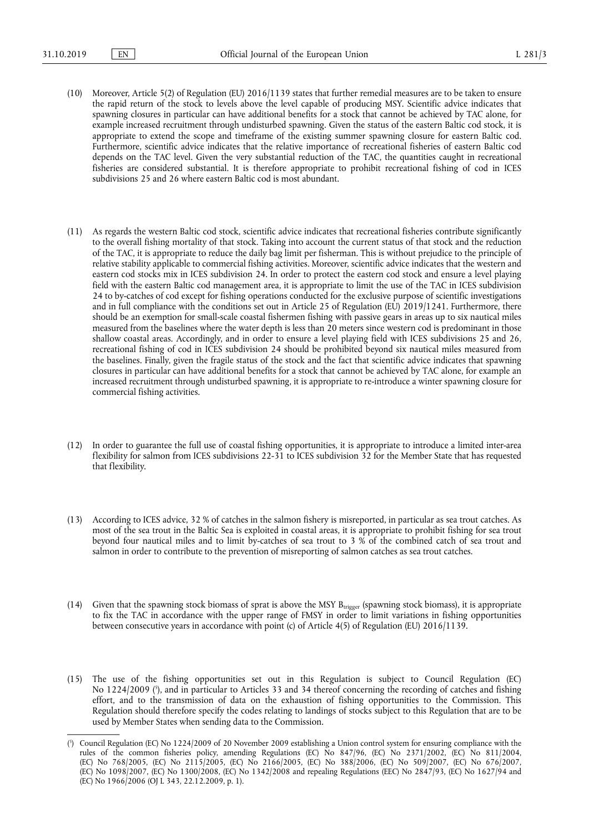- (10) Moreover, Article 5(2) of Regulation (EU) 2016/1139 states that further remedial measures are to be taken to ensure the rapid return of the stock to levels above the level capable of producing MSY. Scientific advice indicates that spawning closures in particular can have additional benefits for a stock that cannot be achieved by TAC alone, for example increased recruitment through undisturbed spawning. Given the status of the eastern Baltic cod stock, it is appropriate to extend the scope and timeframe of the existing summer spawning closure for eastern Baltic cod. Furthermore, scientific advice indicates that the relative importance of recreational fisheries of eastern Baltic cod depends on the TAC level. Given the very substantial reduction of the TAC, the quantities caught in recreational fisheries are considered substantial. It is therefore appropriate to prohibit recreational fishing of cod in ICES subdivisions 25 and 26 where eastern Baltic cod is most abundant.
- (11) As regards the western Baltic cod stock, scientific advice indicates that recreational fisheries contribute significantly to the overall fishing mortality of that stock. Taking into account the current status of that stock and the reduction of the TAC, it is appropriate to reduce the daily bag limit per fisherman. This is without prejudice to the principle of relative stability applicable to commercial fishing activities. Moreover, scientific advice indicates that the western and eastern cod stocks mix in ICES subdivision 24. In order to protect the eastern cod stock and ensure a level playing field with the eastern Baltic cod management area, it is appropriate to limit the use of the TAC in ICES subdivision 24 to by-catches of cod except for fishing operations conducted for the exclusive purpose of scientific investigations and in full compliance with the conditions set out in Article 25 of Regulation (EU) 2019/1241. Furthermore, there should be an exemption for small-scale coastal fishermen fishing with passive gears in areas up to six nautical miles measured from the baselines where the water depth is less than 20 meters since western cod is predominant in those shallow coastal areas. Accordingly, and in order to ensure a level playing field with ICES subdivisions 25 and 26, recreational fishing of cod in ICES subdivision 24 should be prohibited beyond six nautical miles measured from the baselines. Finally, given the fragile status of the stock and the fact that scientific advice indicates that spawning closures in particular can have additional benefits for a stock that cannot be achieved by TAC alone, for example an increased recruitment through undisturbed spawning, it is appropriate to re-introduce a winter spawning closure for commercial fishing activities.
- (12) In order to guarantee the full use of coastal fishing opportunities, it is appropriate to introduce a limited inter-area flexibility for salmon from ICES subdivisions 22-31 to ICES subdivision 32 for the Member State that has requested that flexibility.
- (13) According to ICES advice, 32 % of catches in the salmon fishery is misreported, in particular as sea trout catches. As most of the sea trout in the Baltic Sea is exploited in coastal areas, it is appropriate to prohibit fishing for sea trout beyond four nautical miles and to limit by-catches of sea trout to 3 % of the combined catch of sea trout and salmon in order to contribute to the prevention of misreporting of salmon catches as sea trout catches.
- (14) Given that the spawning stock biomass of sprat is above the MSY  $B_{trigger}$  (spawning stock biomass), it is appropriate to fix the TAC in accordance with the upper range of FMSY in order to limit variations in fishing opportunities between consecutive years in accordance with point (c) of Article 4(5) of Regulation (EU) 2016/1139.
- (15) The use of the fishing opportunities set out in this Regulation is subject to Council Regulation (EC) No 1224/2009 ( 5 ), and in particular to Articles 33 and 34 thereof concerning the recording of catches and fishing effort, and to the transmission of data on the exhaustion of fishing opportunities to the Commission. This Regulation should therefore specify the codes relating to landings of stocks subject to this Regulation that are to be used by Member States when sending data to the Commission.

<sup>(</sup> 5 ) Council Regulation (EC) No 1224/2009 of 20 November 2009 establishing a Union control system for ensuring compliance with the rules of the common fisheries policy, amending Regulations (EC) No 847/96, (EC) No 2371/2002, (EC) No 811/2004, (EC) No 768/2005, (EC) No 2115/2005, (EC) No 2166/2005, (EC) No 388/2006, (EC) No 509/2007, (EC) No 676/2007, (EC) No 1098/2007, (EC) No 1300/2008, (EC) No 1342/2008 and repealing Regulations (EEC) No 2847/93, (EC) No 1627/94 and (EC) No 1966/2006 (OJ L 343, 22.12.2009, p. 1).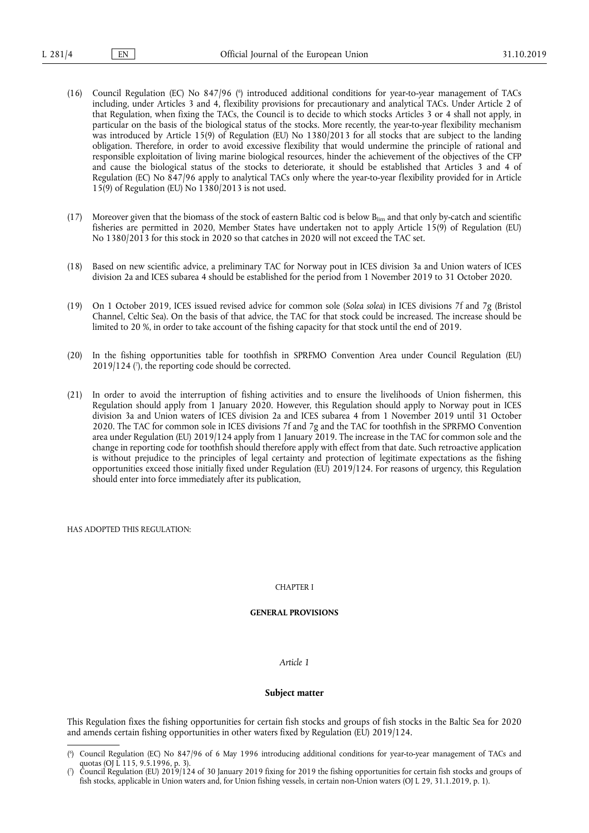- (16) Council Regulation (EC) No 847/96 ( 6 ) introduced additional conditions for year-to-year management of TACs including, under Articles 3 and 4, flexibility provisions for precautionary and analytical TACs. Under Article 2 of that Regulation, when fixing the TACs, the Council is to decide to which stocks Articles 3 or 4 shall not apply, in particular on the basis of the biological status of the stocks. More recently, the year-to-year flexibility mechanism was introduced by Article 15(9) of Regulation (EU) No 1380/2013 for all stocks that are subject to the landing obligation. Therefore, in order to avoid excessive flexibility that would undermine the principle of rational and responsible exploitation of living marine biological resources, hinder the achievement of the objectives of the CFP and cause the biological status of the stocks to deteriorate, it should be established that Articles 3 and 4 of Regulation (EC) No 847/96 apply to analytical TACs only where the year-to-year flexibility provided for in Article 15(9) of Regulation (EU) No 1380/2013 is not used.
- (17) Moreover given that the biomass of the stock of eastern Baltic cod is below Blim and that only by-catch and scientific fisheries are permitted in 2020, Member States have undertaken not to apply Article 15(9) of Regulation (EU) No 1380/2013 for this stock in 2020 so that catches in 2020 will not exceed the TAC set.
- (18) Based on new scientific advice, a preliminary TAC for Norway pout in ICES division 3a and Union waters of ICES division 2a and ICES subarea 4 should be established for the period from 1 November 2019 to 31 October 2020.
- (19) On 1 October 2019, ICES issued revised advice for common sole (*Solea solea*) in ICES divisions 7f and 7g (Bristol Channel, Celtic Sea). On the basis of that advice, the TAC for that stock could be increased. The increase should be limited to 20 %, in order to take account of the fishing capacity for that stock until the end of 2019.
- (20) In the fishing opportunities table for toothfish in SPRFMO Convention Area under Council Regulation (EU) 2019/124 ( 7 ), the reporting code should be corrected.
- (21) In order to avoid the interruption of fishing activities and to ensure the livelihoods of Union fishermen, this Regulation should apply from 1 January 2020. However, this Regulation should apply to Norway pout in ICES division 3a and Union waters of ICES division 2a and ICES subarea 4 from 1 November 2019 until 31 October 2020. The TAC for common sole in ICES divisions 7f and 7g and the TAC for toothfish in the SPRFMO Convention area under Regulation (EU) 2019/124 apply from 1 January 2019. The increase in the TAC for common sole and the change in reporting code for toothfish should therefore apply with effect from that date. Such retroactive application is without prejudice to the principles of legal certainty and protection of legitimate expectations as the fishing opportunities exceed those initially fixed under Regulation (EU) 2019/124. For reasons of urgency, this Regulation should enter into force immediately after its publication,

HAS ADOPTED THIS REGULATION:

#### CHAPTER I

#### **GENERAL PROVISIONS**

#### *Article 1*

#### **Subject matter**

This Regulation fixes the fishing opportunities for certain fish stocks and groups of fish stocks in the Baltic Sea for 2020 and amends certain fishing opportunities in other waters fixed by Regulation (EU) 2019/124.

<sup>(</sup> 6 ) Council Regulation (EC) No 847/96 of 6 May 1996 introducing additional conditions for year-to-year management of TACs and quotas (OJ L 115, 9.5.1996, p. 3).

<sup>(</sup> 7 ) Council Regulation (EU) 2019/124 of 30 January 2019 fixing for 2019 the fishing opportunities for certain fish stocks and groups of fish stocks, applicable in Union waters and, for Union fishing vessels, in certain non-Union waters (OJ L 29, 31.1.2019, p. 1).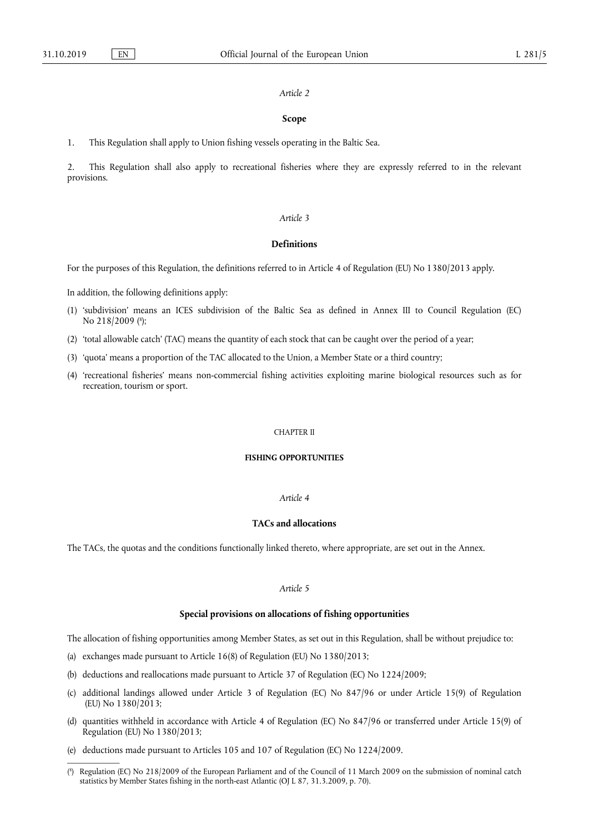#### *Article 2*

#### **Scope**

1. This Regulation shall apply to Union fishing vessels operating in the Baltic Sea.

2. This Regulation shall also apply to recreational fisheries where they are expressly referred to in the relevant provisions.

#### *Article 3*

# **Definitions**

For the purposes of this Regulation, the definitions referred to in Article 4 of Regulation (EU) No 1380/2013 apply.

In addition, the following definitions apply:

- (1) 'subdivision' means an ICES subdivision of the Baltic Sea as defined in Annex III to Council Regulation (EC) No 218/2009 (<sup>8</sup>);
- (2) 'total allowable catch' (TAC) means the quantity of each stock that can be caught over the period of a year;
- (3) 'quota' means a proportion of the TAC allocated to the Union, a Member State or a third country;
- (4) 'recreational fisheries' means non-commercial fishing activities exploiting marine biological resources such as for recreation, tourism or sport.

#### CHAPTER II

## **FISHING OPPORTUNITIES**

## *Article 4*

## **TACs and allocations**

The TACs, the quotas and the conditions functionally linked thereto, where appropriate, are set out in the Annex.

# *Article 5*

# **Special provisions on allocations of fishing opportunities**

The allocation of fishing opportunities among Member States, as set out in this Regulation, shall be without prejudice to:

- (a) exchanges made pursuant to Article 16(8) of Regulation (EU) No 1380/2013;
- (b) deductions and reallocations made pursuant to Article 37 of Regulation (EC) No 1224/2009;
- (c) additional landings allowed under Article 3 of Regulation (EC) No 847/96 or under Article 15(9) of Regulation (EU) No 1380/2013;
- (d) quantities withheld in accordance with Article 4 of Regulation (EC) No 847/96 or transferred under Article 15(9) of Regulation (EU) No 1380/2013;
- (e) deductions made pursuant to Articles 105 and 107 of Regulation (EC) No 1224/2009.

<sup>(</sup> 8 ) Regulation (EC) No 218/2009 of the European Parliament and of the Council of 11 March 2009 on the submission of nominal catch statistics by Member States fishing in the north-east Atlantic (OJ L 87, 31.3.2009, p. 70).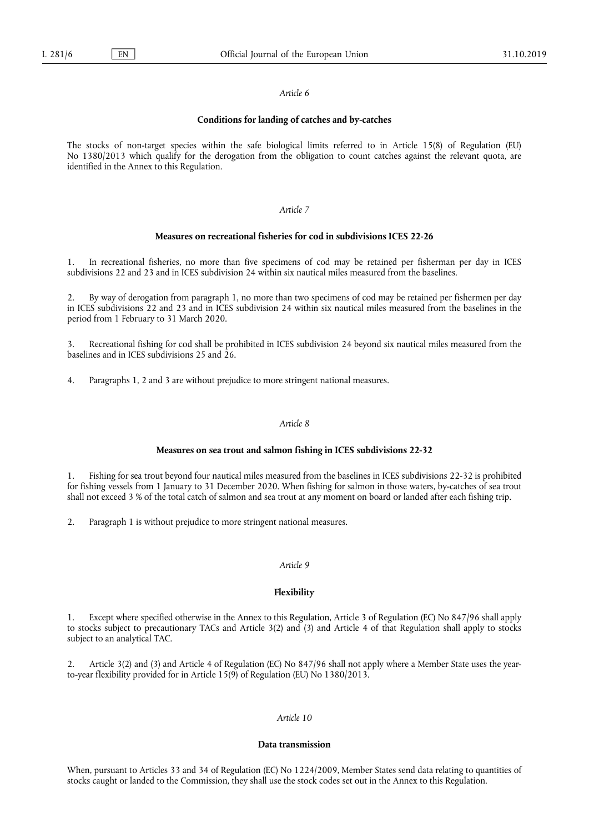#### *Article 6*

#### **Conditions for landing of catches and by-catches**

The stocks of non-target species within the safe biological limits referred to in Article 15(8) of Regulation (EU) No 1380/2013 which qualify for the derogation from the obligation to count catches against the relevant quota, are identified in the Annex to this Regulation.

## *Article 7*

# **Measures on recreational fisheries for cod in subdivisions ICES 22-26**

1. In recreational fisheries, no more than five specimens of cod may be retained per fisherman per day in ICES subdivisions 22 and 23 and in ICES subdivision 24 within six nautical miles measured from the baselines.

2. By way of derogation from paragraph 1, no more than two specimens of cod may be retained per fishermen per day in ICES subdivisions 22 and 23 and in ICES subdivision 24 within six nautical miles measured from the baselines in the period from 1 February to 31 March 2020.

3. Recreational fishing for cod shall be prohibited in ICES subdivision 24 beyond six nautical miles measured from the baselines and in ICES subdivisions 25 and 26.

4. Paragraphs 1, 2 and 3 are without prejudice to more stringent national measures.

#### *Article 8*

## **Measures on sea trout and salmon fishing in ICES subdivisions 22-32**

1. Fishing for sea trout beyond four nautical miles measured from the baselines in ICES subdivisions 22-32 is prohibited for fishing vessels from 1 January to 31 December 2020. When fishing for salmon in those waters, by-catches of sea trout shall not exceed 3 % of the total catch of salmon and sea trout at any moment on board or landed after each fishing trip.

2. Paragraph 1 is without prejudice to more stringent national measures.

#### *Article 9*

#### **Flexibility**

1. Except where specified otherwise in the Annex to this Regulation, Article 3 of Regulation (EC) No 847/96 shall apply to stocks subject to precautionary TACs and Article 3(2) and (3) and Article 4 of that Regulation shall apply to stocks subject to an analytical TAC.

Article 3(2) and (3) and Article 4 of Regulation (EC) No 847/96 shall not apply where a Member State uses the yearto-year flexibility provided for in Article 15(9) of Regulation (EU) No 1380/2013.

# *Article 10*

#### **Data transmission**

When, pursuant to Articles 33 and 34 of Regulation (EC) No 1224/2009, Member States send data relating to quantities of stocks caught or landed to the Commission, they shall use the stock codes set out in the Annex to this Regulation.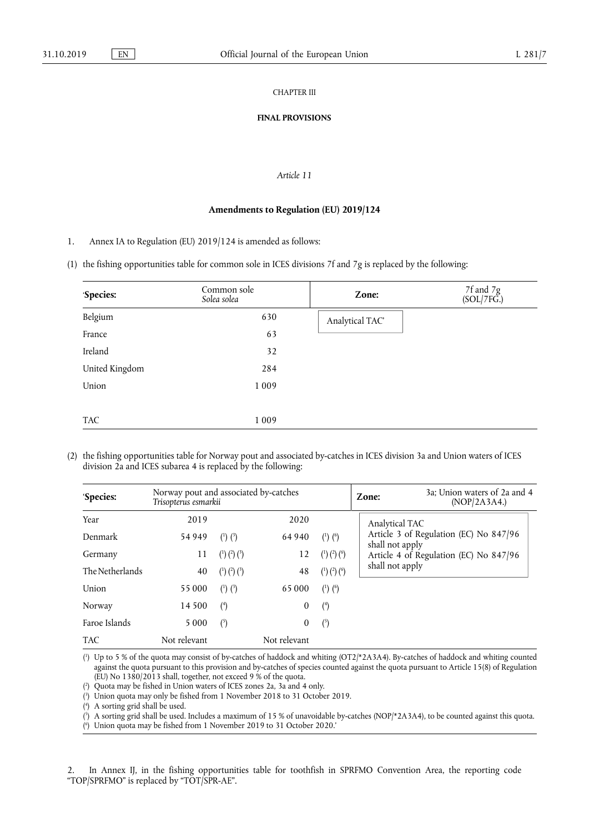## CHAPTER III

## **FINAL PROVISIONS**

## *Article 11*

## **Amendments to Regulation (EU) 2019/124**

1. Annex IA to Regulation (EU) 2019/124 is amended as follows:

# (1) the fishing opportunities table for common sole in ICES divisions 7f and 7g is replaced by the following:

| 'Species:      | Common sole<br>Solea solea | Zone:           | 7f and 7g<br>(SOL/7FG.) |
|----------------|----------------------------|-----------------|-------------------------|
| Belgium        | 630                        | Analytical TAC' |                         |
| France         | 63                         |                 |                         |
| Ireland        | 32                         |                 |                         |
| United Kingdom | 284                        |                 |                         |
| Union          | 1 0 0 9                    |                 |                         |
|                |                            |                 |                         |
| <b>TAC</b>     | 1 0 0 9                    |                 |                         |

(2) the fishing opportunities table for Norway pout and associated by-catches in ICES division 3a and Union waters of ICES division 2a and ICES subarea 4 is replaced by the following:

| 'Species:       | Norway pout and associated by-catches<br>Trisopterus esmarkii |                               |                  | Zone:                                  | 3a; Union waters of 2a and 4<br>(NOP/2A3A4.) |                                                           |
|-----------------|---------------------------------------------------------------|-------------------------------|------------------|----------------------------------------|----------------------------------------------|-----------------------------------------------------------|
| Year            | 2019                                                          |                               | 2020             |                                        |                                              | Analytical TAC                                            |
| Denmark         | 54 949                                                        | $\binom{1}{2}$ $\binom{3}{2}$ | 64 940           | $(^{1})$ $(^{6})$                      |                                              | Article 3 of Regulation (EC) No 847/96                    |
| Germany         | 11                                                            | $(1)$ $(2)$ $(3)$             | 12               | $\binom{1}{2}\binom{2}{2}\binom{6}{2}$ |                                              | shall not apply<br>Article 4 of Regulation (EC) No 847/96 |
| The Netherlands | 40                                                            | $(^{1})$ $(^{2})$ $(^{3})$    | 48               | $(^{1})$ $(^{2})$ $(^{6})$             |                                              | shall not apply                                           |
| Union           | 55 000                                                        | $(1)$ $(3)$                   | 65 000           | $(^{1})$ $(^{6})$                      |                                              |                                                           |
| Norway          | 14 500                                                        | $4$                           | 0                | $(4)$                                  |                                              |                                                           |
| Faroe Islands   | 5 0 0 0                                                       | (5)                           | $\boldsymbol{0}$ | $\binom{5}{ }$                         |                                              |                                                           |
| <b>TAC</b>      | Not relevant                                                  |                               | Not relevant     |                                        |                                              |                                                           |

( 1 ) Up to 5 % of the quota may consist of by-catches of haddock and whiting (OT2/\*2A3A4). By-catches of haddock and whiting counted against the quota pursuant to this provision and by-catches of species counted against the quota pursuant to Article 15(8) of Regulation (EU) No 1380/2013 shall, together, not exceed 9 % of the quota.

( 2 ) Quota may be fished in Union waters of ICES zones 2a, 3a and 4 only.

( 3 ) Union quota may only be fished from 1 November 2018 to 31 October 2019.

( 4 ) A sorting grid shall be used.

( 5 ) A sorting grid shall be used. Includes a maximum of 15 % of unavoidable by-catches (NOP/\*2A3A4), to be counted against this quota.

( 6 ) Union quota may be fished from 1 November 2019 to 31 October 2020.'

2. In Annex IJ, in the fishing opportunities table for toothfish in SPRFMO Convention Area, the reporting code "TOP/SPRFMO" is replaced by "TOT/SPR-AE".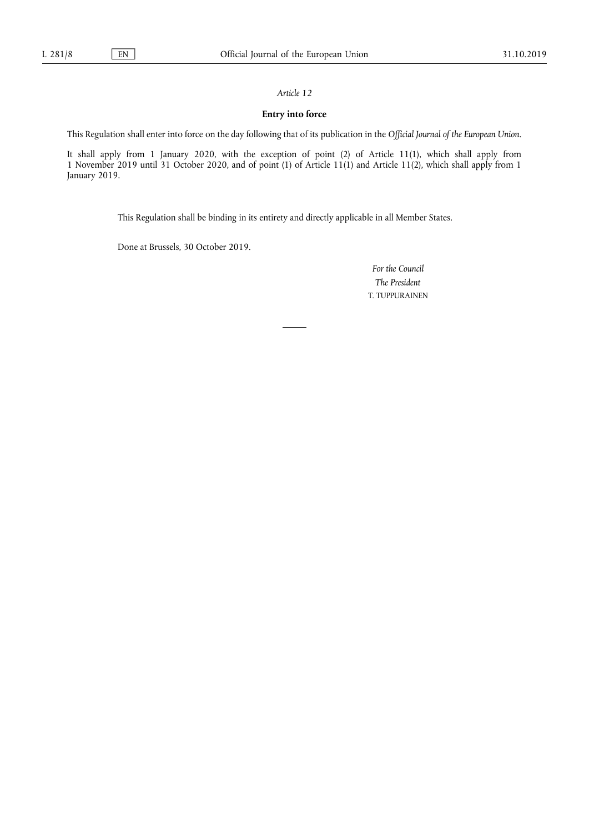# *Article 12*

# **Entry into force**

This Regulation shall enter into force on the day following that of its publication in the *Official Journal of the European Union*.

It shall apply from 1 January 2020, with the exception of point (2) of Article 11(1), which shall apply from 1 November 2019 until 31 October 2020, and of point (1) of Article 11(1) and Article 11(2), which shall apply from 1 January 2019.

This Regulation shall be binding in its entirety and directly applicable in all Member States.

Done at Brussels, 30 October 2019.

*For the Council The President*  T. TUPPURAINEN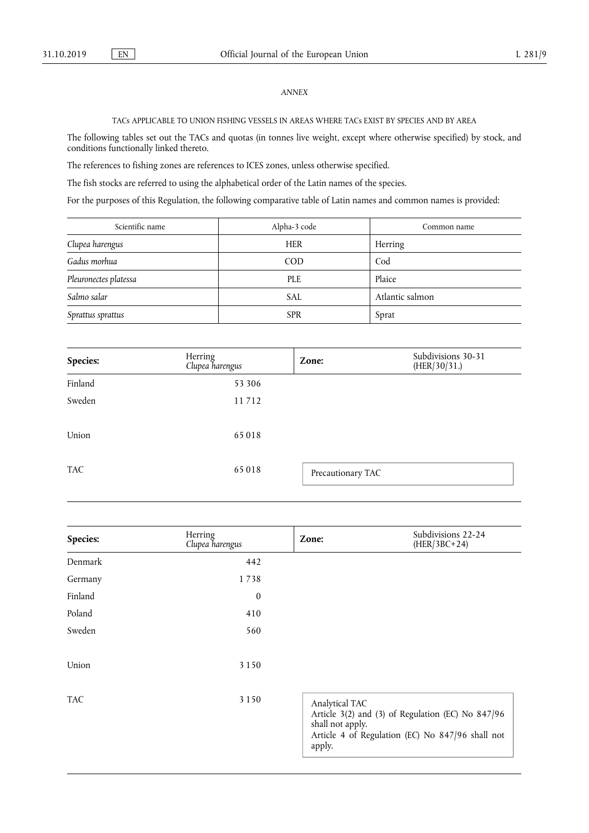# *ANNEX*

# TACs APPLICABLE TO UNION FISHING VESSELS IN AREAS WHERE TACs EXIST BY SPECIES AND BY AREA

The following tables set out the TACs and quotas (in tonnes live weight, except where otherwise specified) by stock, and conditions functionally linked thereto.

The references to fishing zones are references to ICES zones, unless otherwise specified.

The fish stocks are referred to using the alphabetical order of the Latin names of the species.

For the purposes of this Regulation, the following comparative table of Latin names and common names is provided:

| Scientific name       | Alpha-3 code | Common name     |
|-----------------------|--------------|-----------------|
| Clupea harengus       | <b>HER</b>   | Herring         |
| Gadus morhua          | <b>COD</b>   | Cod             |
| Pleuronectes platessa | <b>PLE</b>   | Plaice          |
| Salmo salar           | <b>SAL</b>   | Atlantic salmon |
| Sprattus sprattus     | <b>SPR</b>   | Sprat           |

| Species:   | Herring<br>Clupea harengus | Zone:             | Subdivisions 30-31<br>(HER/30/31.) |
|------------|----------------------------|-------------------|------------------------------------|
| Finland    | 53 306                     |                   |                                    |
| Sweden     | 11712                      |                   |                                    |
| Union      | 65018                      |                   |                                    |
| <b>TAC</b> | 65018                      | Precautionary TAC |                                    |

| Species:   | Herring<br>Clupea harengus | Zone:                                        | Subdivisions 22-24<br>$(HER/3BC+24)$                                                                  |
|------------|----------------------------|----------------------------------------------|-------------------------------------------------------------------------------------------------------|
| Denmark    | 442                        |                                              |                                                                                                       |
| Germany    | 1738                       |                                              |                                                                                                       |
| Finland    | $\mathbf{0}$               |                                              |                                                                                                       |
| Poland     | 410                        |                                              |                                                                                                       |
| Sweden     | 560                        |                                              |                                                                                                       |
| Union      | 3 1 5 0                    |                                              |                                                                                                       |
| <b>TAC</b> | 3 1 5 0                    | Analytical TAC<br>shall not apply.<br>apply. | Article 3(2) and (3) of Regulation (EC) No 847/96<br>Article 4 of Regulation (EC) No 847/96 shall not |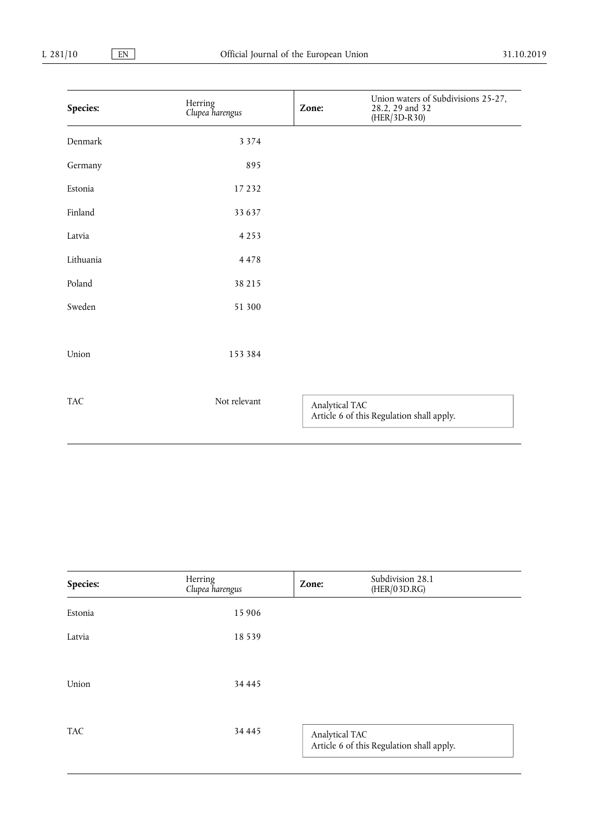| Species:   | Herring<br>Clupea harengus | Zone:          | Union waters of Subdivisions 25-27,<br>28.2, 29 and 32<br>$(HER/3D-R30)$ |
|------------|----------------------------|----------------|--------------------------------------------------------------------------|
| Denmark    | 3 3 7 4                    |                |                                                                          |
| Germany    | 895                        |                |                                                                          |
| Estonia    | 17232                      |                |                                                                          |
| Finland    | 33637                      |                |                                                                          |
| Latvia     | 4253                       |                |                                                                          |
| Lithuania  | 4478                       |                |                                                                          |
| Poland     | 38 215                     |                |                                                                          |
| Sweden     | 51 300                     |                |                                                                          |
|            |                            |                |                                                                          |
| Union      | 153384                     |                |                                                                          |
|            |                            |                |                                                                          |
| <b>TAC</b> | Not relevant               | Analytical TAC | Article 6 of this Regulation shall apply.                                |

| Species:   | Herring<br>Clupea harengus | Zone:          | Subdivision 28.1<br>(HER/03D.RG)          |  |
|------------|----------------------------|----------------|-------------------------------------------|--|
| Estonia    | 15 906                     |                |                                           |  |
| Latvia     | 18539                      |                |                                           |  |
| Union      | 34 4 4 5                   |                |                                           |  |
| <b>TAC</b> | 34 4 4 5                   | Analytical TAC | Article 6 of this Regulation shall apply. |  |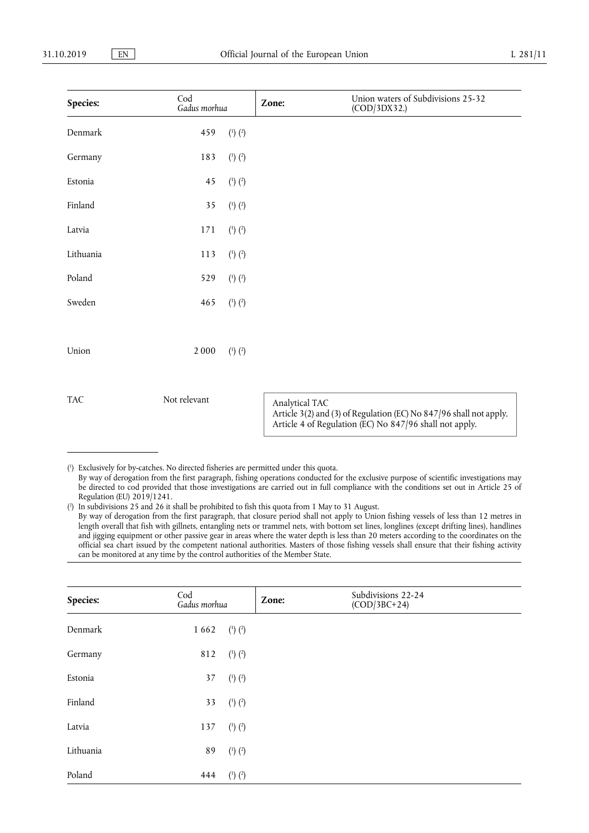| Species:   | Cod<br>Gadus morhua |                   | Zone:          | Union waters of Subdivisions 25-32<br>(COD/3DX32.)                                                                            |
|------------|---------------------|-------------------|----------------|-------------------------------------------------------------------------------------------------------------------------------|
| Denmark    | 459                 | $(^{1})$ $(^{2})$ |                |                                                                                                                               |
| Germany    | 183                 | $(^{1})$ $(^{2})$ |                |                                                                                                                               |
| Estonia    | 45                  | $(^{1})$ $(^{2})$ |                |                                                                                                                               |
| Finland    | 35                  | $(^{1})$ $(^{2})$ |                |                                                                                                                               |
| Latvia     | 171                 | $(^{1})$ $(^{2})$ |                |                                                                                                                               |
| Lithuania  | 113                 | $(^{1})$ $(^{2})$ |                |                                                                                                                               |
| Poland     | 529                 | $(^{1})$ $(^{2})$ |                |                                                                                                                               |
| Sweden     | 465                 | $(^{1})$ $(^{2})$ |                |                                                                                                                               |
|            |                     |                   |                |                                                                                                                               |
| Union      | 2000                | $(1)$ $(2)$       |                |                                                                                                                               |
|            |                     |                   |                |                                                                                                                               |
| <b>TAC</b> | Not relevant        |                   | Analytical TAC | Article 3(2) and (3) of Regulation (EC) No 847/96 shall not apply.<br>Article 4 of Regulation (EC) No 847/96 shall not apply. |

( 1 ) Exclusively for by-catches. No directed fisheries are permitted under this quota. By way of derogation from the first paragraph, fishing operations conducted for the exclusive purpose of scientific investigations may be directed to cod provided that those investigations are carried out in full compliance with the conditions set out in Article 25 of Regulation (EU) 2019/1241.

( 2 ) In subdivisions 25 and 26 it shall be prohibited to fish this quota from 1 May to 31 August. By way of derogation from the first paragraph, that closure period shall not apply to Union fishing vessels of less than 12 metres in length overall that fish with gillnets, entangling nets or trammel nets, with bottom set lines, longlines (except drifting lines), handlines and jigging equipment or other passive gear in areas where the water depth is less than 20 meters according to the coordinates on the official sea chart issued by the competent national authorities. Masters of those fishing vessels shall ensure that their fishing activity can be monitored at any time by the control authorities of the Member State.

| Species:  | Cod<br>Gadus morhua |                               | Zone: | Subdivisions 22-24<br>$(COD/3BC+24)$ |  |
|-----------|---------------------|-------------------------------|-------|--------------------------------------|--|
| Denmark   | 1662                | $\binom{1}{2}$ $\binom{2}{2}$ |       |                                      |  |
| Germany   | 812                 | $(^{1})$ $(^{2})$             |       |                                      |  |
| Estonia   | 37                  | $\binom{1}{2}$ $\binom{2}{2}$ |       |                                      |  |
| Finland   | 33                  | $\binom{1}{2}$ $\binom{2}{2}$ |       |                                      |  |
| Latvia    | 137                 | $\binom{1}{2}$ $\binom{2}{2}$ |       |                                      |  |
| Lithuania | 89                  | $\binom{1}{2}$ $\binom{2}{2}$ |       |                                      |  |
| Poland    | 444                 | $\binom{1}{2}$ $\binom{2}{2}$ |       |                                      |  |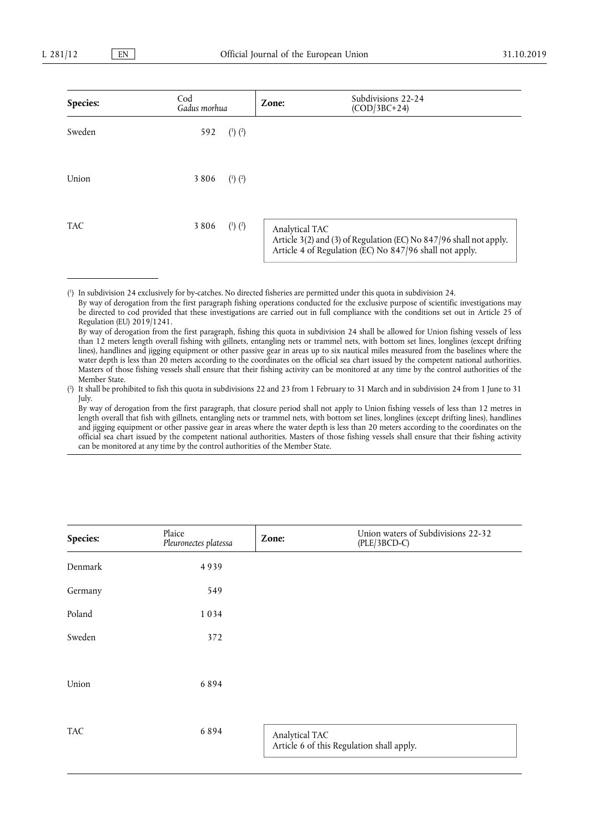| Species:   | Cod<br>Gadus morhua |                               | Zone:          | Subdivisions 22-24<br>$(COD/3BC+24)$                                                                                          |
|------------|---------------------|-------------------------------|----------------|-------------------------------------------------------------------------------------------------------------------------------|
| Sweden     | 592                 | $\binom{1}{2}$ $\binom{2}{2}$ |                |                                                                                                                               |
| Union      | 3806                | $(^{1})$ $(^{2})$             |                |                                                                                                                               |
| <b>TAC</b> | 3806                | $\binom{1}{2}$ $\binom{2}{2}$ | Analytical TAC | Article 3(2) and (3) of Regulation (EC) No 847/96 shall not apply.<br>Article 4 of Regulation (EC) No 847/96 shall not apply. |

( 1 ) In subdivision 24 exclusively for by-catches. No directed fisheries are permitted under this quota in subdivision 24.

By way of derogation from the first paragraph fishing operations conducted for the exclusive purpose of scientific investigations may be directed to cod provided that these investigations are carried out in full compliance with the conditions set out in Article 25 of Regulation (EU) 2019/1241.

( 2 ) It shall be prohibited to fish this quota in subdivisions 22 and 23 from 1 February to 31 March and in subdivision 24 from 1 June to 31 July.

By way of derogation from the first paragraph, that closure period shall not apply to Union fishing vessels of less than 12 metres in length overall that fish with gillnets, entangling nets or trammel nets, with bottom set lines, longlines (except drifting lines), handlines and jigging equipment or other passive gear in areas where the water depth is less than 20 meters according to the coordinates on the official sea chart issued by the competent national authorities. Masters of those fishing vessels shall ensure that their fishing activity can be monitored at any time by the control authorities of the Member State.

| Species:   | Plaice<br>Pleuronectes platessa | Zone:          | Union waters of Subdivisions 22-32<br>$(PLE/3BCD-C)$ |
|------------|---------------------------------|----------------|------------------------------------------------------|
| Denmark    | 4939                            |                |                                                      |
| Germany    | 549                             |                |                                                      |
| Poland     | 1034                            |                |                                                      |
| Sweden     | 372                             |                |                                                      |
|            |                                 |                |                                                      |
| Union      | 6894                            |                |                                                      |
|            |                                 |                |                                                      |
| <b>TAC</b> | 6894                            | Analytical TAC | Article 6 of this Regulation shall apply.            |
|            |                                 |                |                                                      |

By way of derogation from the first paragraph, fishing this quota in subdivision 24 shall be allowed for Union fishing vessels of less than 12 meters length overall fishing with gillnets, entangling nets or trammel nets, with bottom set lines, longlines (except drifting lines), handlines and jigging equipment or other passive gear in areas up to six nautical miles measured from the baselines where the water depth is less than 20 meters according to the coordinates on the official sea chart issued by the competent national authorities. Masters of those fishing vessels shall ensure that their fishing activity can be monitored at any time by the control authorities of the Member State.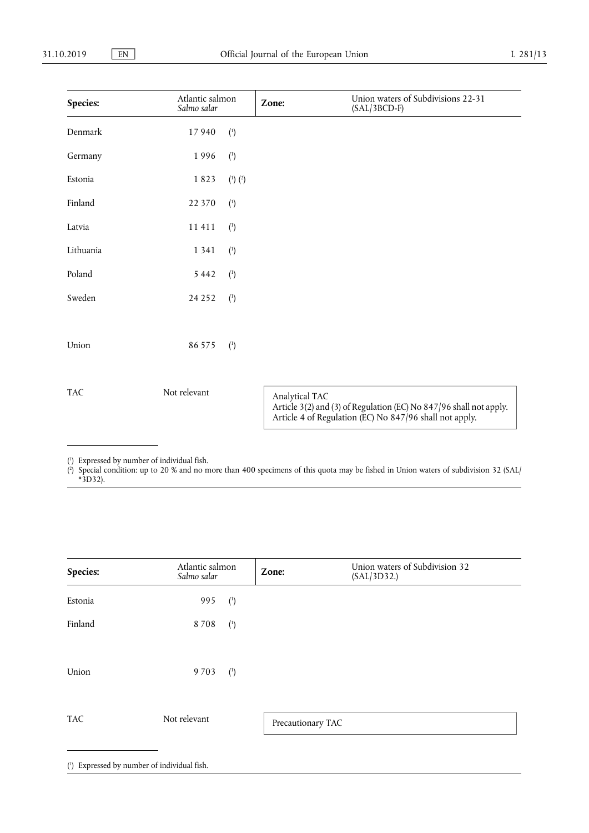| Species:   | Atlantic salmon<br>Salmo salar |                   | Zone:          | Union waters of Subdivisions 22-31<br>$(SAL/3BCD-F)$                                                                          |
|------------|--------------------------------|-------------------|----------------|-------------------------------------------------------------------------------------------------------------------------------|
| Denmark    | 17940                          | $\binom{1}{ }$    |                |                                                                                                                               |
| Germany    | 1996                           | $\binom{1}{ }$    |                |                                                                                                                               |
| Estonia    | 1823                           | $(^{1})$ $(^{2})$ |                |                                                                                                                               |
| Finland    | 22 370                         | $\binom{1}{ }$    |                |                                                                                                                               |
| Latvia     | 11 411                         | $\binom{1}{ }$    |                |                                                                                                                               |
| Lithuania  | 1 3 4 1                        | $\binom{1}{ }$    |                |                                                                                                                               |
| Poland     | 5 4 4 2                        | $\binom{1}{ }$    |                |                                                                                                                               |
| Sweden     | 24 25 2                        | $\binom{1}{0}$    |                |                                                                                                                               |
|            |                                |                   |                |                                                                                                                               |
| Union      | 86 575                         | $\binom{1}{ }$    |                |                                                                                                                               |
|            |                                |                   |                |                                                                                                                               |
| <b>TAC</b> | Not relevant                   |                   | Analytical TAC | Article 3(2) and (3) of Regulation (EC) No 847/96 shall not apply.<br>Article 4 of Regulation (EC) No 847/96 shall not apply. |

( 1 ) Expressed by number of individual fish.

( 2 ) Special condition: up to 20 % and no more than 400 specimens of this quota may be fished in Union waters of subdivision 32 (SAL/ \*3D32).

| Species:   | Atlantic salmon<br>Salmo salar | Zone:             | Union waters of Subdivision 32<br>(SAL/3D32.) |  |
|------------|--------------------------------|-------------------|-----------------------------------------------|--|
| Estonia    | 995<br>$\binom{1}{ }$          |                   |                                               |  |
| Finland    | 8708<br>$\binom{1}{ }$         |                   |                                               |  |
| Union      | 9703<br>$\binom{1}{1}$         |                   |                                               |  |
| <b>TAC</b> | Not relevant                   | Precautionary TAC |                                               |  |

( 1 ) Expressed by number of individual fish.